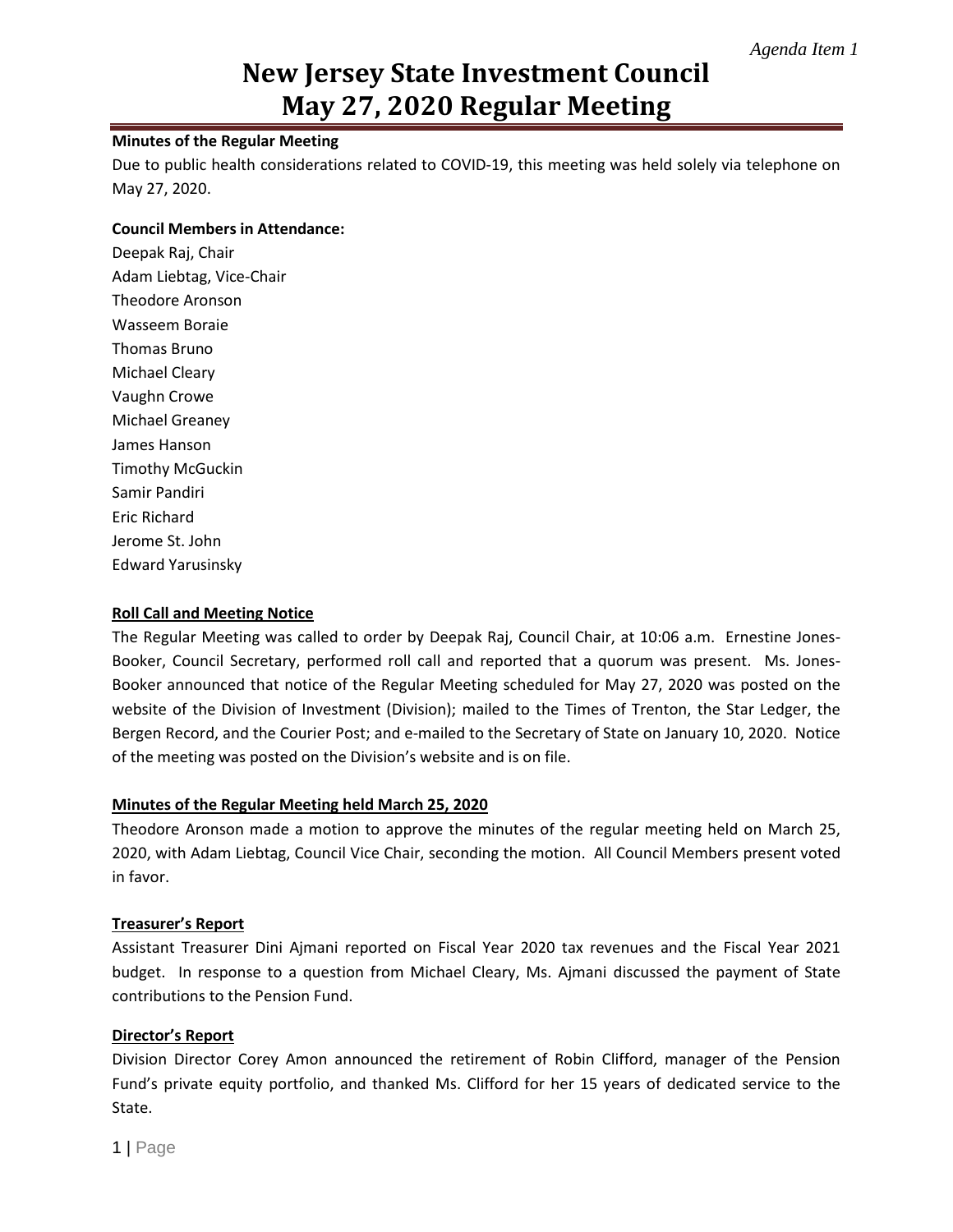# **New Jersey State Investment Council May 27, 2020 Regular Meeting**

### **Minutes of the Regular Meeting**

Due to public health considerations related to COVID-19, this meeting was held solely via telephone on May 27, 2020.

#### **Council Members in Attendance:**

Deepak Raj, Chair Adam Liebtag, Vice-Chair Theodore Aronson Wasseem Boraie Thomas Bruno Michael Cleary Vaughn Crowe Michael Greaney James Hanson Timothy McGuckin Samir Pandiri Eric Richard Jerome St. John Edward Yarusinsky

#### **Roll Call and Meeting Notice**

The Regular Meeting was called to order by Deepak Raj, Council Chair, at 10:06 a.m. Ernestine Jones-Booker, Council Secretary, performed roll call and reported that a quorum was present. Ms. Jones-Booker announced that notice of the Regular Meeting scheduled for May 27, 2020 was posted on the website of the Division of Investment (Division); mailed to the Times of Trenton, the Star Ledger, the Bergen Record, and the Courier Post; and e-mailed to the Secretary of State on January 10, 2020. Notice of the meeting was posted on the Division's website and is on file.

#### **Minutes of the Regular Meeting held March 25, 2020**

Theodore Aronson made a motion to approve the minutes of the regular meeting held on March 25, 2020, with Adam Liebtag, Council Vice Chair, seconding the motion. All Council Members present voted in favor.

#### **Treasurer's Report**

Assistant Treasurer Dini Ajmani reported on Fiscal Year 2020 tax revenues and the Fiscal Year 2021 budget. In response to a question from Michael Cleary, Ms. Ajmani discussed the payment of State contributions to the Pension Fund.

### **Director's Report**

Division Director Corey Amon announced the retirement of Robin Clifford, manager of the Pension Fund's private equity portfolio, and thanked Ms. Clifford for her 15 years of dedicated service to the State.

1 | Page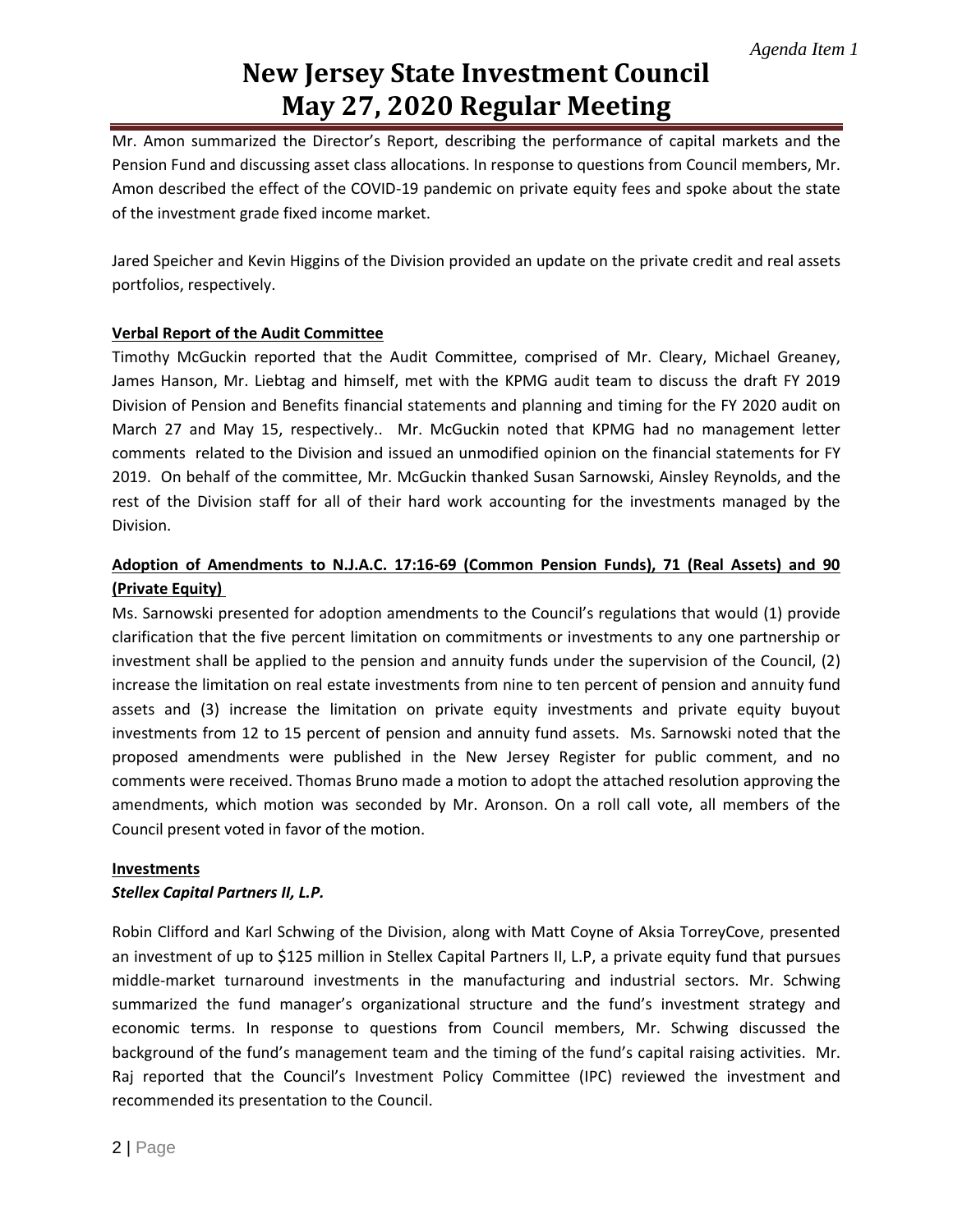# **New Jersey State Investment Council May 27, 2020 Regular Meeting**

Mr. Amon summarized the Director's Report, describing the performance of capital markets and the Pension Fund and discussing asset class allocations. In response to questions from Council members, Mr. Amon described the effect of the COVID-19 pandemic on private equity fees and spoke about the state of the investment grade fixed income market.

Jared Speicher and Kevin Higgins of the Division provided an update on the private credit and real assets portfolios, respectively.

## **Verbal Report of the Audit Committee**

Timothy McGuckin reported that the Audit Committee, comprised of Mr. Cleary, Michael Greaney, James Hanson, Mr. Liebtag and himself, met with the KPMG audit team to discuss the draft FY 2019 Division of Pension and Benefits financial statements and planning and timing for the FY 2020 audit on March 27 and May 15, respectively.. Mr. McGuckin noted that KPMG had no management letter comments related to the Division and issued an unmodified opinion on the financial statements for FY 2019. On behalf of the committee, Mr. McGuckin thanked Susan Sarnowski, Ainsley Reynolds, and the rest of the Division staff for all of their hard work accounting for the investments managed by the Division.

## **Adoption of Amendments to N.J.A.C. 17:16-69 (Common Pension Funds), 71 (Real Assets) and 90 (Private Equity)**

Ms. Sarnowski presented for adoption amendments to the Council's regulations that would (1) provide clarification that the five percent limitation on commitments or investments to any one partnership or investment shall be applied to the pension and annuity funds under the supervision of the Council, (2) increase the limitation on real estate investments from nine to ten percent of pension and annuity fund assets and (3) increase the limitation on private equity investments and private equity buyout investments from 12 to 15 percent of pension and annuity fund assets. Ms. Sarnowski noted that the proposed amendments were published in the New Jersey Register for public comment, and no comments were received. Thomas Bruno made a motion to adopt the attached resolution approving the amendments, which motion was seconded by Mr. Aronson. On a roll call vote, all members of the Council present voted in favor of the motion.

### **Investments**

### *Stellex Capital Partners II, L.P.*

Robin Clifford and Karl Schwing of the Division, along with Matt Coyne of Aksia TorreyCove, presented an investment of up to \$125 million in Stellex Capital Partners II, L.P, a private equity fund that pursues middle-market turnaround investments in the manufacturing and industrial sectors. Mr. Schwing summarized the fund manager's organizational structure and the fund's investment strategy and economic terms. In response to questions from Council members, Mr. Schwing discussed the background of the fund's management team and the timing of the fund's capital raising activities. Mr. Raj reported that the Council's Investment Policy Committee (IPC) reviewed the investment and recommended its presentation to the Council.